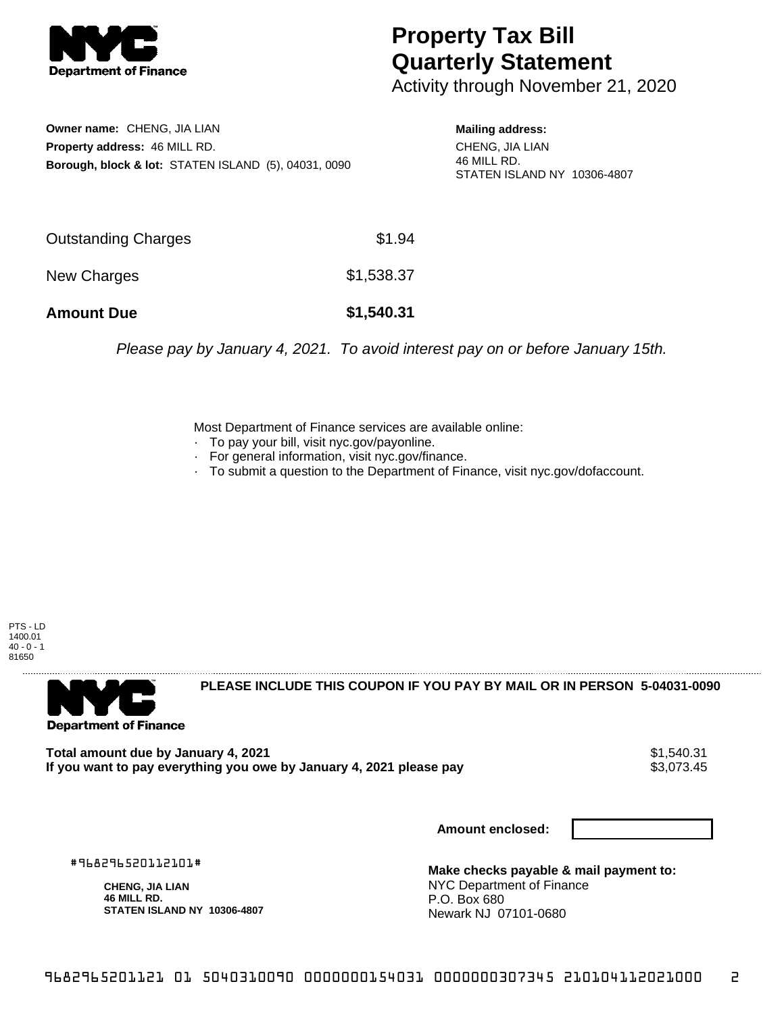

## **Property Tax Bill Quarterly Statement**

Activity through November 21, 2020

**Owner name:** CHENG, JIA LIAN **Property address:** 46 MILL RD. **Borough, block & lot:** STATEN ISLAND (5), 04031, 0090

**Mailing address:** CHENG, JIA LIAN 46 MILL RD. STATEN ISLAND NY 10306-4807

| <b>Amount Due</b>   | \$1,540.31 |
|---------------------|------------|
| New Charges         | \$1,538.37 |
| Outstanding Charges | \$1.94     |

Please pay by January 4, 2021. To avoid interest pay on or before January 15th.

Most Department of Finance services are available online:

- · To pay your bill, visit nyc.gov/payonline.
- For general information, visit nyc.gov/finance.
- · To submit a question to the Department of Finance, visit nyc.gov/dofaccount.

PTS - LD 1400.01  $40 - 0 - 1$ 81650



**PLEASE INCLUDE THIS COUPON IF YOU PAY BY MAIL OR IN PERSON 5-04031-0090** 

**Total amount due by January 4, 2021**<br>If you want to pay everything you owe by January 4, 2021 please pay **show that the summer way.** \$3,073.45 If you want to pay everything you owe by January 4, 2021 please pay

**Amount enclosed:**

#968296520112101#

**CHENG, JIA LIAN 46 MILL RD. STATEN ISLAND NY 10306-4807**

**Make checks payable & mail payment to:** NYC Department of Finance P.O. Box 680 Newark NJ 07101-0680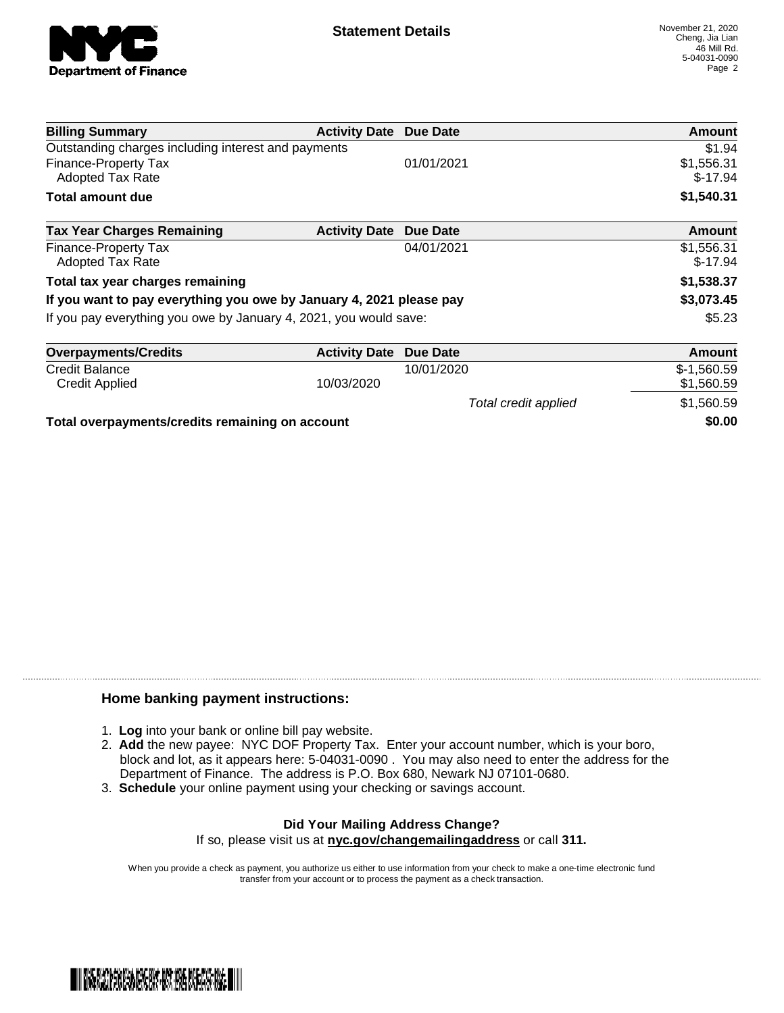

Total credit applied  $$1,560.59$ 

| <b>Billing Summary</b>                                              | <b>Activity Date Due Date</b> |            | Amount                  |
|---------------------------------------------------------------------|-------------------------------|------------|-------------------------|
| Outstanding charges including interest and payments                 |                               |            | \$1.94                  |
| Finance-Property Tax<br>Adopted Tax Rate                            |                               | 01/01/2021 | \$1,556.31<br>$$-17.94$ |
| <b>Total amount due</b>                                             |                               |            | \$1,540.31              |
| <b>Tax Year Charges Remaining</b>                                   | <b>Activity Date</b>          | Due Date   | <b>Amount</b>           |
| Finance-Property Tax<br><b>Adopted Tax Rate</b>                     |                               | 04/01/2021 | \$1,556.31<br>$$-17.94$ |
| Total tax year charges remaining                                    |                               |            | \$1,538.37              |
| If you want to pay everything you owe by January 4, 2021 please pay |                               |            | \$3,073.45              |
| If you pay everything you owe by January 4, 2021, you would save:   |                               |            | \$5.23                  |
| <b>Overpayments/Credits</b>                                         | <b>Activity Date</b>          | Due Date   | Amount                  |
| <b>Credit Balance</b>                                               |                               | 10/01/2020 | $$-1,560.59$            |

Credit Applied \$1,560.59 \$1,560.59

**Total overpayments/credits remaining on account \$0.00**

## **Home banking payment instructions:**

- 1. **Log** into your bank or online bill pay website.
- 2. **Add** the new payee: NYC DOF Property Tax. Enter your account number, which is your boro, block and lot, as it appears here: 5-04031-0090 . You may also need to enter the address for the Department of Finance. The address is P.O. Box 680, Newark NJ 07101-0680.
- 3. **Schedule** your online payment using your checking or savings account.

## **Did Your Mailing Address Change?** If so, please visit us at **nyc.gov/changemailingaddress** or call **311.**

When you provide a check as payment, you authorize us either to use information from your check to make a one-time electronic fund

transfer from your account or to process the payment as a check transaction.